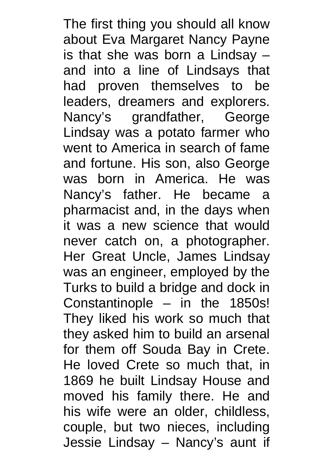The first thing you should all know about Eva Margaret Nancy Payne is that she was born a Lindsay – and into a line of Lindsays that had proven themselves to be leaders, dreamers and explorers. Nancy's grandfather, George Lindsay was a potato farmer who went to America in search of fame and fortune. His son, also George was born in America. He was Nancy's father. He became a pharmacist and, in the days when it was a new science that would never catch on, a photographer. Her Great Uncle, James Lindsay was an engineer, employed by the Turks to build a bridge and dock in Constantinople – in the 1850s! They liked his work so much that they asked him to build an arsenal for them off Souda Bay in Crete. He loved Crete so much that, in 1869 he built Lindsay House and moved his family there. He and his wife were an older, childless, couple, but two nieces, including Jessie Lindsay – Nancy's aunt if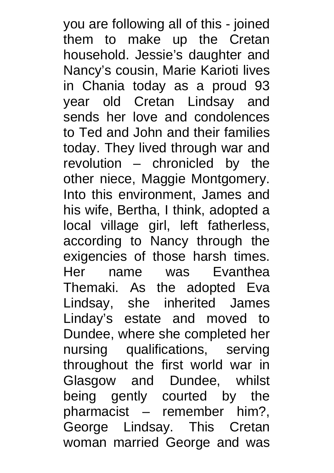you are following all of this - joined them to make up the Cretan household. Jessie's daughter and Nancy's cousin, Marie Karioti lives in Chania today as a proud 93 year old Cretan Lindsay and sends her love and condolences to Ted and John and their families today. They lived through war and revolution – chronicled by the other niece, Maggie Montgomery. Into this environment, James and his wife, Bertha, I think, adopted a local village girl, left fatherless, according to Nancy through the exigencies of those harsh times. Her name was Evanthea Themaki. As the adopted Eva Lindsay, she inherited James Linday's estate and moved to Dundee, where she completed her nursing qualifications, serving throughout the first world war in Glasgow and Dundee, whilst being gently courted by the pharmacist – remember him?, George Lindsay. This Cretan woman married George and was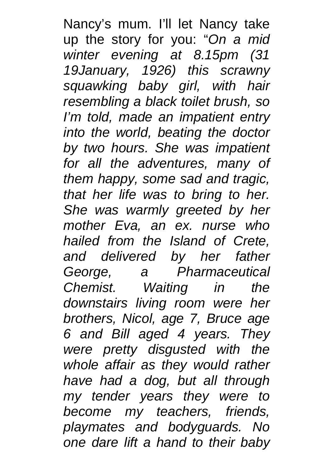Nancy's mum. I'll let Nancy take up the story for you: "*On a mid winter evening at 8.15pm (31 19January, 1926) this scrawny squawking baby girl, with hair resembling a black toilet brush, so I'm told, made an impatient entry into the world, beating the doctor by two hours. She was impatient for all the adventures, many of them happy, some sad and tragic, that her life was to bring to her. She was warmly greeted by her mother Eva, an ex. nurse who hailed from the Island of Crete, and delivered by her father George, a Pharmaceutical Chemist. Waiting in the downstairs living room were her brothers, Nicol, age 7, Bruce age 6 and Bill aged 4 years. They were pretty disgusted with the whole affair as they would rather have had a dog, but all through my tender years they were to become my teachers, friends, playmates and bodyguards. No one dare lift a hand to their baby*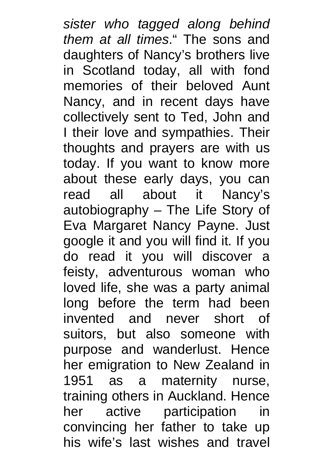*sister who tagged along behind them at all times*." The sons and daughters of Nancy's brothers live in Scotland today, all with fond memories of their beloved Aunt Nancy, and in recent days have collectively sent to Ted, John and I their love and sympathies. Their thoughts and prayers are with us today. If you want to know more about these early days, you can read all about it Nancy's autobiography – The Life Story of Eva Margaret Nancy Payne. Just google it and you will find it. If you do read it you will discover a feisty, adventurous woman who loved life, she was a party animal long before the term had been invented and never short of suitors, but also someone with purpose and wanderlust. Hence her emigration to New Zealand in 1951 as a maternity nurse, training others in Auckland. Hence her active participation in convincing her father to take up his wife's last wishes and travel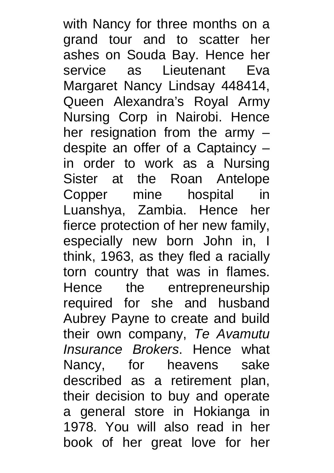with Nancy for three months on a grand tour and to scatter her ashes on Souda Bay. Hence her service as Lieutenant Eva Margaret Nancy Lindsay 448414, Queen Alexandra's Royal Army Nursing Corp in Nairobi. Hence her resignation from the army – despite an offer of a Captaincy – in order to work as a Nursing Sister at the Roan Antelope Copper mine hospital in Luanshya, Zambia. Hence her fierce protection of her new family, especially new born John in, I think, 1963, as they fled a racially torn country that was in flames. Hence the entrepreneurship required for she and husband Aubrey Payne to create and build their own company, *Te Avamutu Insurance Brokers*. Hence what Nancy, for heavens sake described as a retirement plan, their decision to buy and operate a general store in Hokianga in 1978. You will also read in her book of her great love for her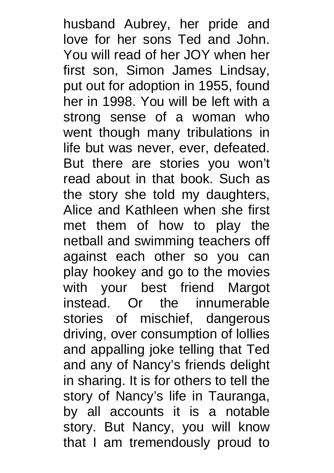husband Aubrey, her pride and love for her sons Ted and John. You will read of her JOY when her first son, Simon James Lindsay, put out for adoption in 1955, found her in 1998. You will be left with a strong sense of a woman who went though many tribulations in life but was never, ever, defeated. But there are stories you won't read about in that book. Such as the story she told my daughters, Alice and Kathleen when she first met them of how to play the netball and swimming teachers off against each other so you can play hookey and go to the movies with your best friend Margot instead. Or the innumerable stories of mischief, dangerous driving, over consumption of lollies and appalling joke telling that Ted and any of Nancy's friends delight in sharing. It is for others to tell the story of Nancy's life in Tauranga, by all accounts it is a notable story. But Nancy, you will know that I am tremendously proud to